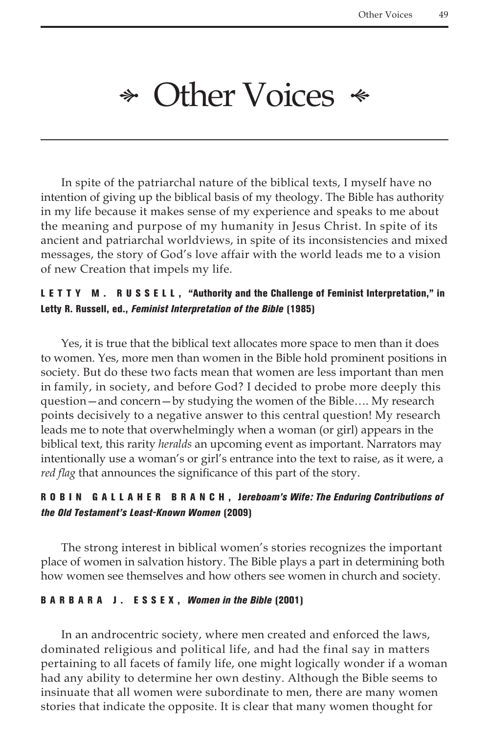# $\ast$  Other Voices  $\ast$

In spite of the patriarchal nature of the biblical texts, I myself have no intention of giving up the biblical basis of my theology. The Bible has authority in my life because it makes sense of my experience and speaks to me about the meaning and purpose of my humanity in Jesus Christ. In spite of its ancient and patriarchal worldviews, in spite of its inconsistencies and mixed messages, the story of God's love affair with the world leads me to a vision of new Creation that impels my life.

### LETTY M. RUSSELL, "Authority and the Challenge of Feminist Interpretation," in Letty R. Russell, ed., *Feminist Interpretation of the Bible* (1985)

Yes, it is true that the biblical text allocates more space to men than it does to women. Yes, more men than women in the Bible hold prominent positions in society. But do these two facts mean that women are less important than men in family, in society, and before God? I decided to probe more deeply this question—and concern—by studying the women of the Bible…. My research points decisively to a negative answer to this central question! My research leads me to note that overwhelmingly when a woman (or girl) appears in the biblical text, this rarity *heralds* an upcoming event as important. Narrators may intentionally use a woman's or girl's entrance into the text to raise, as it were, a *red flag* that announces the significance of this part of the story.

# ROB IN GALLAHER BRANCH, Jereboam's Wife: The Enduring Contributions of *the Old Testament's Least-Known Women* (2009)

The strong interest in biblical women's stories recognizes the important place of women in salvation history. The Bible plays a part in determining both how women see themselves and how others see women in church and society.

#### Bar b ara J. E ssex, *Women in the Bible* (2001)

In an androcentric society, where men created and enforced the laws, dominated religious and political life, and had the final say in matters pertaining to all facets of family life, one might logically wonder if a woman had any ability to determine her own destiny. Although the Bible seems to insinuate that all women were subordinate to men, there are many women stories that indicate the opposite. It is clear that many women thought for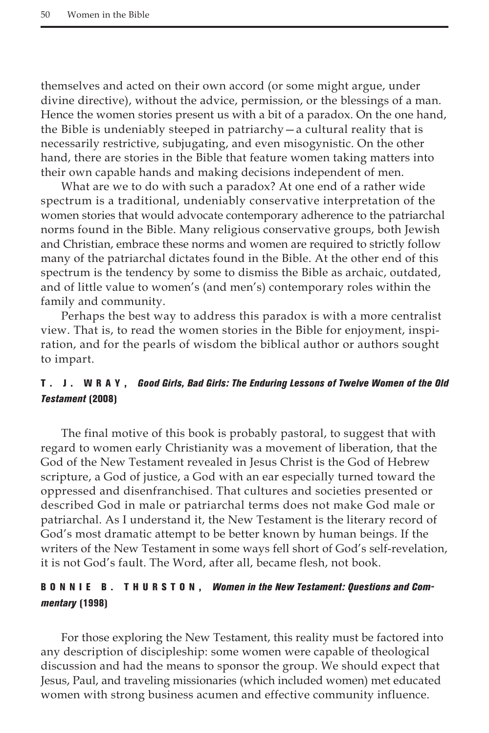themselves and acted on their own accord (or some might argue, under divine directive), without the advice, permission, or the blessings of a man. Hence the women stories present us with a bit of a paradox. On the one hand, the Bible is undeniably steeped in patriarchy—a cultural reality that is necessarily restrictive, subjugating, and even misogynistic. On the other hand, there are stories in the Bible that feature women taking matters into their own capable hands and making decisions independent of men.

What are we to do with such a paradox? At one end of a rather wide spectrum is a traditional, undeniably conservative interpretation of the women stories that would advocate contemporary adherence to the patriarchal norms found in the Bible. Many religious conservative groups, both Jewish and Christian, embrace these norms and women are required to strictly follow many of the patriarchal dictates found in the Bible. At the other end of this spectrum is the tendency by some to dismiss the Bible as archaic, outdated, and of little value to women's (and men's) contemporary roles within the family and community.

Perhaps the best way to address this paradox is with a more centralist view. That is, to read the women stories in the Bible for enjoyment, inspiration, and for the pearls of wisdom the biblical author or authors sought to impart.

### T . J. W ra y, *Good Girls, Bad Girls: The Enduring Lessons of Twelve Women of the Old Testament* (2008)

The final motive of this book is probably pastoral, to suggest that with regard to women early Christianity was a movement of liberation, that the God of the New Testament revealed in Jesus Christ is the God of Hebrew scripture, a God of justice, a God with an ear especially turned toward the oppressed and disenfranchised. That cultures and societies presented or described God in male or patriarchal terms does not make God male or patriarchal. As I understand it, the New Testament is the literary record of God's most dramatic attempt to be better known by human beings. If the writers of the New Testament in some ways fell short of God's self-revelation, it is not God's fault. The Word, after all, became flesh, not book.

# B O N N I E B . T H U R S T O N, *Women in the New Testament: Questions and Commentary* (1998)

For those exploring the New Testament, this reality must be factored into any description of discipleship: some women were capable of theological discussion and had the means to sponsor the group. We should expect that Jesus, Paul, and traveling missionaries (which included women) met educated women with strong business acumen and effective community influence.